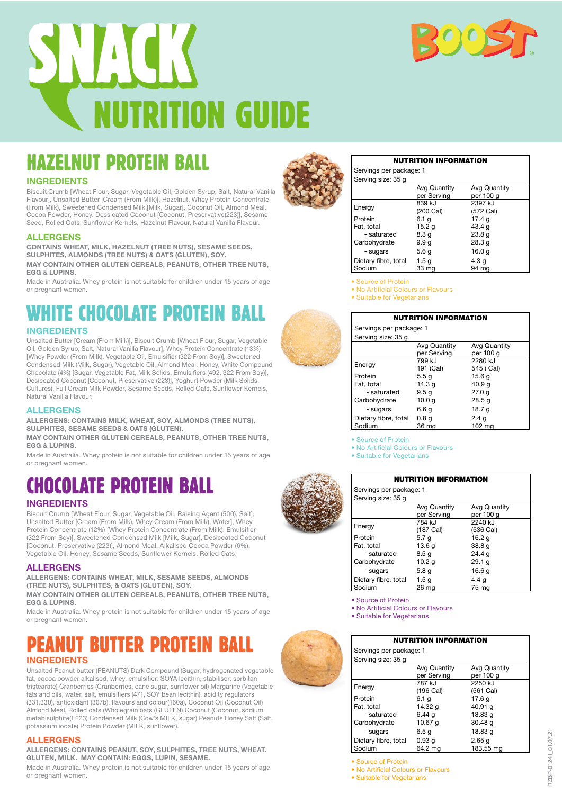



# HAZELNUT PROTEIN BALL

# **INGREDIENTS**

Biscuit Crumb [Wheat Flour, Sugar, Vegetable Oil, Golden Syrup, Salt, Natural Vanilla Flavour], Unsalted Butter [Cream (From Milk)], Hazelnut, Whey Protein Concentrate (From Milk), Sweetened Condensed Milk [Milk, Sugar], Coconut Oil, Almond Meal, Cocoa Powder, Honey, Dessicated Coconut [Coconut, Preservative(223)], Sesame Seed, Rolled Oats, Sunflower Kernels, Hazelnut Flavour, Natural Vanilla Flavour.

### **ALLERGENS**

**CONTAINS WHEAT, MILK, HAZELNUT (TREE NUTS), SESAME SEEDS, SULPHITES, ALMONDS (TREE NUTS) & OATS (GLUTEN), SOY. MAY CONTAIN OTHER GLUTEN CEREALS, PEANUTS, OTHER TREE NUTS, EGG & LUPINS.**

Made in Australia. Whey protein is not suitable for children under 15 years of age or pregnant women.

# **HITE CHOCOLATE PROTEIN**

# **INGREDIENTS**

Unsalted Butter [Cream (From Milk)], Biscuit Crumb [Wheat Flour, Sugar, Vegetable Oil, Golden Syrup, Salt, Natural Vanilla Flavour], Whey Protein Concentrate (13%) [Whey Powder (From Milk), Vegetable Oil, Emulsifier (322 From Soy)], Sweetened Condensed Milk (Milk, Sugar), Vegetable Oil, Almond Meal, Honey, White Compound Chocolate (4%) [Sugar, Vegetable Fat, Milk Solids, Emulsifiers (492, 322 From Soy)], Desiccated Coconut [Coconut, Preservative (223)], Yoghurt Powder (Milk Solids, Cultures), Full Cream Milk Powder, Sesame Seeds, Rolled Oats, Sunflower Kernels, Natural Vanilla Flavour.

### **ALLERGENS**

**ALLERGENS: CONTAINS MILK, WHEAT, SOY, ALMONDS (TREE NUTS), SULPHITES, SESAME SEEDS & OATS (GLUTEN).** 

**MAY CONTAIN OTHER GLUTEN CEREALS, PEANUTS, OTHER TREE NUTS, EGG & LUPINS.**

Made in Australia. Whey protein is not suitable for children under 15 years of age or pregnant women.

# CHOCOLATE PROTEIN BALL

# **INGREDIENTS**

Biscuit Crumb [Wheat Flour, Sugar, Vegetable Oil, Raising Agent (500), Salt], Unsalted Butter [Cream (From Milk), Whey Cream (From Milk), Water], Whey Protein Concentrate (12%) [Whey Protein Concentrate (From Milk), Emulsifier (322 From Soy)], Sweetened Condensed Milk [Milk, Sugar], Desiccated Coconut [Coconut, Preservative (223)], Almond Meal, Alkalised Cocoa Powder (6%), Vegetable Oil, Honey, Sesame Seeds, Sunflower Kernels, Rolled Oats.

### **ALLERGENS**

**ALLERGENS: CONTAINS WHEAT, MILK, SESAME SEEDS, ALMONDS (TREE NUTS), SULPHITES, & OATS (GLUTEN), SOY.** 

**MAY CONTAIN OTHER GLUTEN CEREALS, PEANUTS, OTHER TREE NUTS, EGG & LUPINS.**

Made in Australia. Whey protein is not suitable for children under 15 years of age or pregnant women.

# **INGREDIENTS EANUT BUTTER PROTEIN**

Unsalted Peanut butter (PEANUTS) Dark Compound (Sugar, hydrogenated vegetable fat, cocoa powder alkalised, whey, emulsifier: SOYA lecithin, stabiliser: sorbitan tristearate) Cranberries (Cranberries, cane sugar, sunflower oil) Margarine (Vegetable fats and oils, water, salt, emulsifiers (471, SOY bean lecithin), acidity regulators (331,330), antioxidant (307b), flavours and colour(160a), Coconut Oil (Coconut Oil) Almond Meal, Rolled oats (Wholegrain oats (GLUTEN) Coconut (Coconut, sodium metabisulphite(E223) Condensed Milk (Cow's MILK, sugar) Peanuts Honey Salt (Salt, potassium iodate) Protein Powder (MILK, sunflower).

# **ALLERGENS**

**ALLERGENS: CONTAINS PEANUT, SOY, SULPHITES, TREE NUTS, WHEAT, GLUTEN, MILK. MAY CONTAIN: EGGS, LUPIN, SESAME.**

Made in Australia. Whey protein is not suitable for children under 15 years of age or pregnant women.



|                  | <b>NUTRITION INFORMATION</b> |
|------------------|------------------------------|
| s per package: 1 |                              |

|                    | $55.11.95$ ps. passage. |  |
|--------------------|-------------------------|--|
| Serving size: 35 g |                         |  |

Servings

| ooi vii ig oizo. oo g |              |                   |
|-----------------------|--------------|-------------------|
|                       | Avg Quantity | Avg Quantity      |
|                       | per Serving  | per 100 g         |
|                       | 839 kJ       | 2397 kJ           |
| Energy                | (200 Cal)    | (572 Cal)         |
| Protein               | 6.1 g        | 17.4 <sub>q</sub> |
| Fat, total            | 15.2 g       | 43.4 g            |
| - saturated           | 8.3 g        | 23.8q             |
| Carbohydrate          | 9.9 g        | 28.3q             |
| - sugars              | 5.6 g        | 16.0 <sub>q</sub> |
| Dietary fibre, total  | 1.5g         | 4.3 <sub>g</sub>  |
| Sodium                | 33 mg        | 94 ma             |

• Source of Protein

- No Artificial Colours or Flavours
- Suitable for Vegetarians

| <b>NUTRITION INFORMATION</b> |                  |                  |  |
|------------------------------|------------------|------------------|--|
| Servings per package: 1      |                  |                  |  |
| Serving size: 35 g           |                  |                  |  |
|                              | Avg Quantity     | Avg Quantity     |  |
|                              | per Serving      | per 100 g        |  |
| Energy                       | 799 kJ           | 2280 kJ          |  |
|                              | 191 (Cal)        | 545 (Cal)        |  |
| Protein                      | 5.5 g            | 15.6 g           |  |
| Fat. total                   | 14.3 g           | 40.9 g           |  |
| - saturated                  | 9.5 <sub>q</sub> | 27.0q            |  |
| Carbohydrate                 | 10.0 g           | 28.5q            |  |
| - sugars                     | 6.6 q            | 18.7 g           |  |
| Dietary fibre, total         | 0.8 <sub>q</sub> | 2.4 <sub>q</sub> |  |
| Sodium                       | 36 mg            | 102 mg           |  |

• Source of Protein

• No Artificial Colours or Flavours

• Suitable for Vegetarians

| <b>NUTRITION INFORMATION</b> |                                    |                                  |  |
|------------------------------|------------------------------------|----------------------------------|--|
| Servings per package: 1      |                                    |                                  |  |
| Serving size: 35 g           |                                    |                                  |  |
|                              | <b>Avg Quantity</b><br>per Serving | <b>Avg Quantity</b><br>per 100 g |  |
| Energy                       | 784 kJ<br>$(187)$ Cal)             | 2240 kJ<br>(536 Cal)             |  |
| Protein                      | 5.7 <sub>q</sub>                   | 16.2 <sub>q</sub>                |  |
| Fat, total                   | 13.6 g                             | 38.8 <sub>q</sub>                |  |
| - saturated                  | 8.5 <sub>q</sub>                   | 24.4 <sub>q</sub>                |  |
| Carbohydrate                 | 10.2 <sub>q</sub>                  | 29.1 <sub>q</sub>                |  |
| - sugars                     | 5.8 <sub>q</sub>                   | 16.6 g                           |  |
| Dietary fibre, total         | 1.5 g                              | 4.4 <sub>g</sub>                 |  |
| Sodium                       | $26 \text{ ma}$                    | 75 ma                            |  |

- Source of Protein
- No Artificial Colours or Flavours
- Suitable for Vegetarians



• Source of Protein

• No Artificial Colours or Flavours

• Suitable for Vegetarians